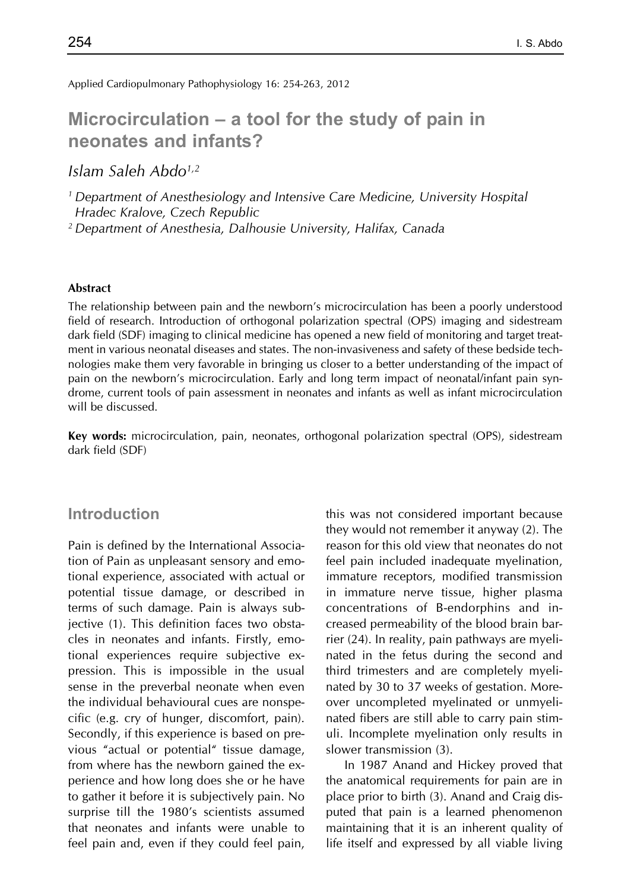Applied Cardiopulmonary Pathophysiology 16: 254-263, 2012

# **Microcirculation – a tool for the study of pain in neonates and infants?**

*Islam Saleh Abdo1,2*

*1 Department of Anesthesiology and Intensive Care Medicine, University Hospital Hradec Kralove, Czech Republic*

*2 Department of Anesthesia, Dalhousie University, Halifax, Canada*

#### **Abstract**

The relationship between pain and the newborn's microcirculation has been a poorly understood field of research. Introduction of orthogonal polarization spectral (OPS) imaging and sidestream dark field (SDF) imaging to clinical medicine has opened a new field of monitoring and target treatment in various neonatal diseases and states. The non-invasiveness and safety of these bedside technologies make them very favorable in bringing us closer to a better understanding of the impact of pain on the newborn's microcirculation. Early and long term impact of neonatal/infant pain syndrome, current tools of pain assessment in neonates and infants as well as infant microcirculation will be discussed.

**Key words:** microcirculation, pain, neonates, orthogonal polarization spectral (OPS), sidestream dark field (SDF)

#### **Introduction**

Pain is defined by the International Association of Pain as unpleasant sensory and emotional experience, associated with actual or potential tissue damage, or described in terms of such damage. Pain is always subjective (1). This definition faces two obstacles in neonates and infants. Firstly, emotional experiences require subjective expression. This is impossible in the usual sense in the preverbal neonate when even the individual behavioural cues are nonspecific (e.g. cry of hunger, discomfort, pain). Secondly, if this experience is based on previous "actual or potential" tissue damage, from where has the newborn gained the experience and how long does she or he have to gather it before it is subjectively pain. No surprise till the 1980's scientists assumed that neonates and infants were unable to feel pain and, even if they could feel pain, this was not considered important because they would not remember it anyway (2). The reason for this old view that neonates do not feel pain included inadequate myelination, immature receptors, modified transmission in immature nerve tissue, higher plasma concentrations of B-endorphins and increased permeability of the blood brain barrier (24). In reality, pain pathways are myelinated in the fetus during the second and third trimesters and are completely myelinated by 30 to 37 weeks of gestation. Moreover uncompleted myelinated or unmyelinated fibers are still able to carry pain stimuli. Incomplete myelination only results in slower transmission (3).

In 1987 Anand and Hickey proved that the anatomical requirements for pain are in place prior to birth (3). Anand and Craig disputed that pain is a learned phenomenon maintaining that it is an inherent quality of life itself and expressed by all viable living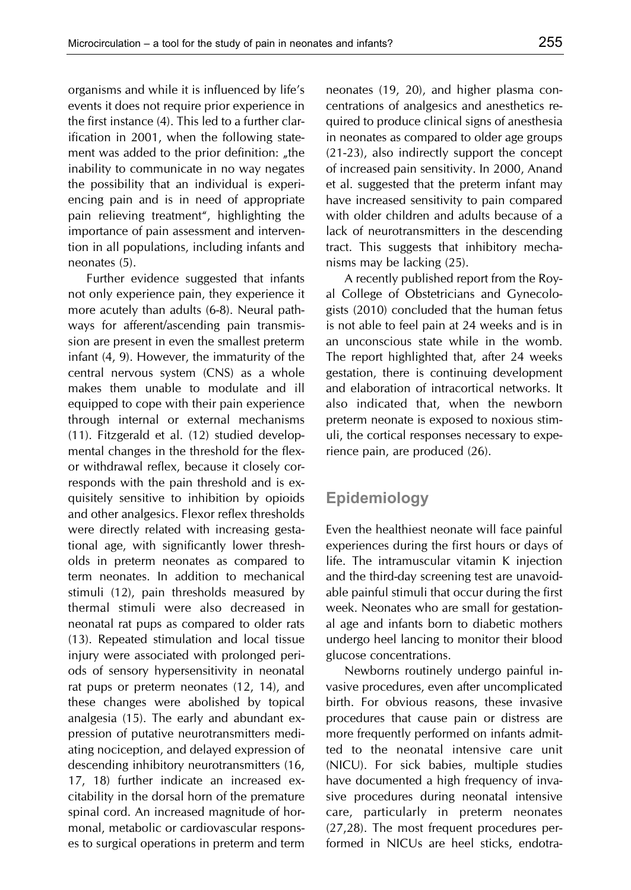organisms and while it is influenced by life's events it does not require prior experience in the first instance (4). This led to a further clarification in 2001, when the following statement was added to the prior definition: "the inability to communicate in no way negates the possibility that an individual is experiencing pain and is in need of appropriate pain relieving treatment", highlighting the importance of pain assessment and intervention in all populations, including infants and neonates (5).

Further evidence suggested that infants not only experience pain, they experience it more acutely than adults (6-8). Neural pathways for afferent/ascending pain transmission are present in even the smallest preterm infant (4, 9). However, the immaturity of the central nervous system (CNS) as a whole makes them unable to modulate and ill equipped to cope with their pain experience through internal or external mechanisms (11). Fitzgerald et al. (12) studied developmental changes in the threshold for the flexor withdrawal reflex, because it closely corresponds with the pain threshold and is exquisitely sensitive to inhibition by opioids and other analgesics. Flexor reflex thresholds were directly related with increasing gestational age, with significantly lower thresholds in preterm neonates as compared to term neonates. In addition to mechanical stimuli (12), pain thresholds measured by thermal stimuli were also decreased in neonatal rat pups as compared to older rats (13). Repeated stimulation and local tissue injury were associated with prolonged periods of sensory hypersensitivity in neonatal rat pups or preterm neonates (12, 14), and these changes were abolished by topical analgesia (15). The early and abundant expression of putative neurotransmitters mediating nociception, and delayed expression of descending inhibitory neurotransmitters (16, 17, 18) further indicate an increased excitability in the dorsal horn of the premature spinal cord. An increased magnitude of hormonal, metabolic or cardiovascular responses to surgical operations in preterm and term

neonates (19, 20), and higher plasma concentrations of analgesics and anesthetics required to produce clinical signs of anesthesia in neonates as compared to older age groups (21-23), also indirectly support the concept of increased pain sensitivity. In 2000, Anand et al. suggested that the preterm infant may have increased sensitivity to pain compared with older children and adults because of a lack of neurotransmitters in the descending tract. This suggests that inhibitory mechanisms may be lacking (25).

A recently published report from the Royal College of Obstetricians and Gynecologists (2010) concluded that the human fetus is not able to feel pain at 24 weeks and is in an unconscious state while in the womb. The report highlighted that, after 24 weeks gestation, there is continuing development and elaboration of intracortical networks. It also indicated that, when the newborn preterm neonate is exposed to noxious stimuli, the cortical responses necessary to experience pain, are produced (26).

#### **Epidemiology**

Even the healthiest neonate will face painful experiences during the first hours or days of life. The intramuscular vitamin K injection and the third-day screening test are unavoidable painful stimuli that occur during the first week. Neonates who are small for gestational age and infants born to diabetic mothers undergo heel lancing to monitor their blood glucose concentrations.

Newborns routinely undergo painful invasive procedures, even after uncomplicated birth. For obvious reasons, these invasive procedures that cause pain or distress are more frequently performed on infants admitted to the neonatal intensive care unit (NICU). For sick babies, multiple studies have documented a high frequency of invasive procedures during neonatal intensive care, particularly in preterm neonates (27,28). The most frequent procedures performed in NICUs are heel sticks, endotra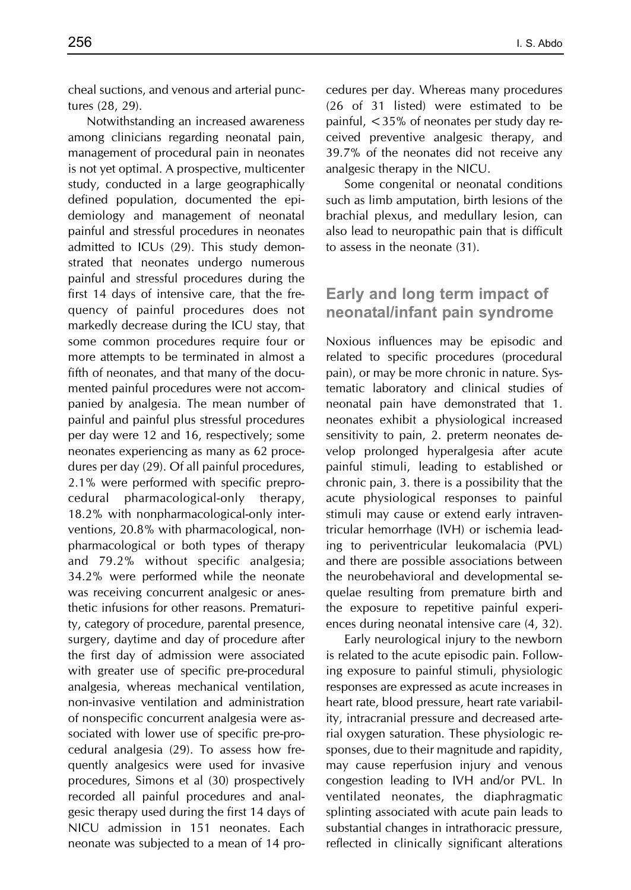cheal suctions, and venous and arterial punctures (28, 29).

Notwithstanding an increased awareness among clinicians regarding neonatal pain, management of procedural pain in neonates is not yet optimal. A prospective, multicenter study, conducted in a large geographically defined population, documented the epidemiology and management of neonatal painful and stressful procedures in neonates admitted to ICUs (29). This study demonstrated that neonates undergo numerous painful and stressful procedures during the first 14 days of intensive care, that the frequency of painful procedures does not markedly decrease during the ICU stay, that some common procedures require four or more attempts to be terminated in almost a fifth of neonates, and that many of the documented painful procedures were not accompanied by analgesia. The mean number of painful and painful plus stressful procedures per day were 12 and 16, respectively; some neonates experiencing as many as 62 procedures per day (29). Of all painful procedures, 2.1% were performed with specific preprocedural pharmacological-only therapy, 18.2% with nonpharmacological-only interventions, 20.8% with pharmacological, nonpharmacological or both types of therapy and 79.2% without specific analgesia; 34.2% were performed while the neonate was receiving concurrent analgesic or anesthetic infusions for other reasons. Prematurity, category of procedure, parental presence, surgery, daytime and day of procedure after the first day of admission were associated with greater use of specific pre-procedural analgesia, whereas mechanical ventilation, non-invasive ventilation and administration of nonspecific concurrent analgesia were associated with lower use of specific pre-procedural analgesia (29). To assess how frequently analgesics were used for invasive procedures, Simons et al (30) prospectively recorded all painful procedures and analgesic therapy used during the first 14 days of NICU admission in 151 neonates. Each neonate was subjected to a mean of 14 procedures per day. Whereas many procedures (26 of 31 listed) were estimated to be painful, <35% of neonates per study day received preventive analgesic therapy, and 39.7% of the neonates did not receive any analgesic therapy in the NICU.

Some congenital or neonatal conditions such as limb amputation, birth lesions of the brachial plexus, and medullary lesion, can also lead to neuropathic pain that is difficult to assess in the neonate (31).

## **Early and long term impact of neonatal/infant pain syndrome**

Noxious influences may be episodic and related to specific procedures (procedural pain), or may be more chronic in nature. Systematic laboratory and clinical studies of neonatal pain have demonstrated that 1. neonates exhibit a physiological increased sensitivity to pain, 2. preterm neonates develop prolonged hyperalgesia after acute painful stimuli, leading to established or chronic pain, 3. there is a possibility that the acute physiological responses to painful stimuli may cause or extend early intraventricular hemorrhage (IVH) or ischemia leading to periventricular leukomalacia (PVL) and there are possible associations between the neurobehavioral and developmental sequelae resulting from premature birth and the exposure to repetitive painful experiences during neonatal intensive care (4, 32).

Early neurological injury to the newborn is related to the acute episodic pain. Following exposure to painful stimuli, physiologic responses are expressed as acute increases in heart rate, blood pressure, heart rate variability, intracranial pressure and decreased arterial oxygen saturation. These physiologic responses, due to their magnitude and rapidity, may cause reperfusion injury and venous congestion leading to IVH and/or PVL. In ventilated neonates, the diaphragmatic splinting associated with acute pain leads to substantial changes in intrathoracic pressure, reflected in clinically significant alterations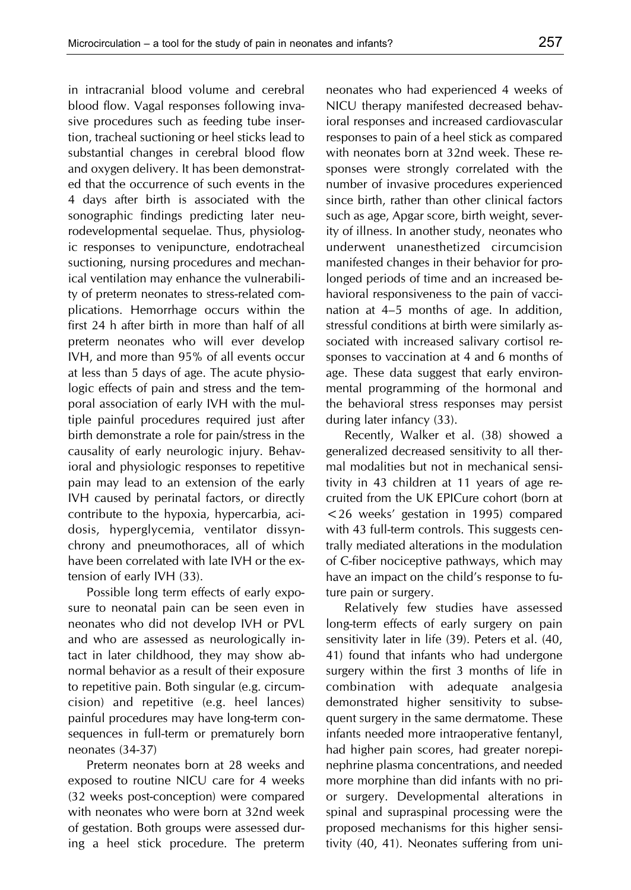in intracranial blood volume and cerebral blood flow. Vagal responses following invasive procedures such as feeding tube insertion, tracheal suctioning or heel sticks lead to substantial changes in cerebral blood flow and oxygen delivery. It has been demonstrated that the occurrence of such events in the 4 days after birth is associated with the sonographic findings predicting later neurodevelopmental sequelae. Thus, physiologic responses to venipuncture, endotracheal suctioning, nursing procedures and mechanical ventilation may enhance the vulnerability of preterm neonates to stress-related complications. Hemorrhage occurs within the first 24 h after birth in more than half of all preterm neonates who will ever develop IVH, and more than 95% of all events occur at less than 5 days of age. The acute physiologic effects of pain and stress and the temporal association of early IVH with the multiple painful procedures required just after birth demonstrate a role for pain/stress in the causality of early neurologic injury. Behavioral and physiologic responses to repetitive pain may lead to an extension of the early IVH caused by perinatal factors, or directly contribute to the hypoxia, hypercarbia, acidosis, hyperglycemia, ventilator dissynchrony and pneumothoraces, all of which have been correlated with late IVH or the extension of early IVH (33).

Possible long term effects of early exposure to neonatal pain can be seen even in neonates who did not develop IVH or PVL and who are assessed as neurologically intact in later childhood, they may show abnormal behavior as a result of their exposure to repetitive pain. Both singular (e.g. circumcision) and repetitive (e.g. heel lances) painful procedures may have long-term consequences in full-term or prematurely born neonates (34-37)

Preterm neonates born at 28 weeks and exposed to routine NICU care for 4 weeks (32 weeks post-conception) were compared with neonates who were born at 32nd week of gestation. Both groups were assessed during a heel stick procedure. The preterm neonates who had experienced 4 weeks of NICU therapy manifested decreased behavioral responses and increased cardiovascular responses to pain of a heel stick as compared with neonates born at 32nd week. These responses were strongly correlated with the number of invasive procedures experienced since birth, rather than other clinical factors such as age, Apgar score, birth weight, severity of illness. In another study, neonates who underwent unanesthetized circumcision manifested changes in their behavior for prolonged periods of time and an increased behavioral responsiveness to the pain of vaccination at 4–5 months of age. In addition, stressful conditions at birth were similarly associated with increased salivary cortisol responses to vaccination at 4 and 6 months of age. These data suggest that early environmental programming of the hormonal and the behavioral stress responses may persist during later infancy (33).

Recently, Walker et al. (38) showed a generalized decreased sensitivity to all thermal modalities but not in mechanical sensitivity in 43 children at 11 years of age recruited from the UK EPICure cohort (born at <26 weeks' gestation in 1995) compared with 43 full-term controls. This suggests centrally mediated alterations in the modulation of C-fiber nociceptive pathways, which may have an impact on the child's response to future pain or surgery.

Relatively few studies have assessed long-term effects of early surgery on pain sensitivity later in life (39). Peters et al. (40, 41) found that infants who had undergone surgery within the first 3 months of life in combination with adequate analgesia demonstrated higher sensitivity to subsequent surgery in the same dermatome. These infants needed more intraoperative fentanyl, had higher pain scores, had greater norepinephrine plasma concentrations, and needed more morphine than did infants with no prior surgery. Developmental alterations in spinal and supraspinal processing were the proposed mechanisms for this higher sensitivity (40, 41). Neonates suffering from uni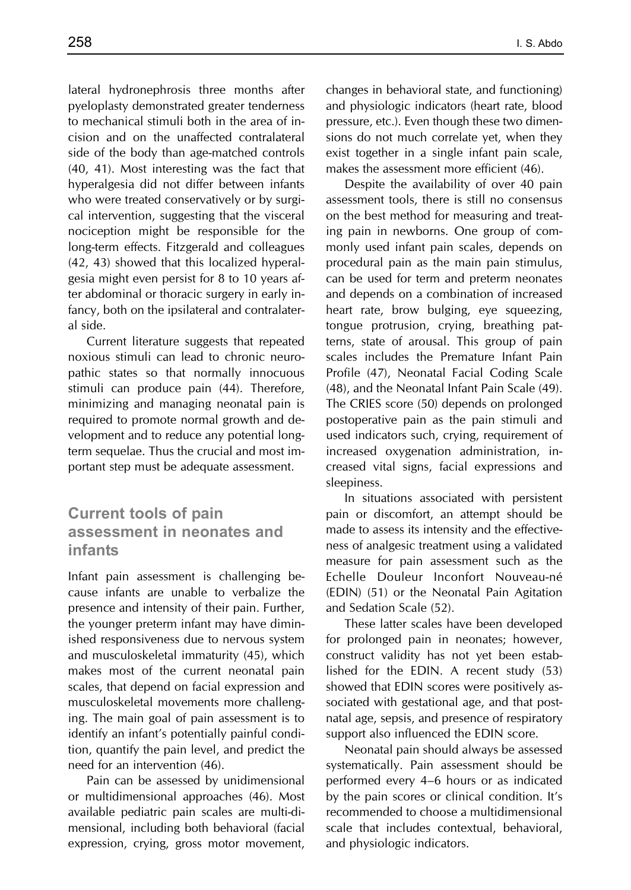lateral hydronephrosis three months after pyeloplasty demonstrated greater tenderness to mechanical stimuli both in the area of incision and on the unaffected contralateral side of the body than age-matched controls (40, 41). Most interesting was the fact that hyperalgesia did not differ between infants who were treated conservatively or by surgical intervention, suggesting that the visceral nociception might be responsible for the long-term effects. Fitzgerald and colleagues (42, 43) showed that this localized hyperalgesia might even persist for 8 to 10 years after abdominal or thoracic surgery in early infancy, both on the ipsilateral and contralateral side.

Current literature suggests that repeated noxious stimuli can lead to chronic neuropathic states so that normally innocuous stimuli can produce pain (44). Therefore, minimizing and managing neonatal pain is required to promote normal growth and development and to reduce any potential longterm sequelae. Thus the crucial and most important step must be adequate assessment.

# **Current tools of pain assessment in neonates and infants**

Infant pain assessment is challenging because infants are unable to verbalize the presence and intensity of their pain. Further, the younger preterm infant may have diminished responsiveness due to nervous system and musculoskeletal immaturity (45), which makes most of the current neonatal pain scales, that depend on facial expression and musculoskeletal movements more challenging. The main goal of pain assessment is to identify an infant's potentially painful condition, quantify the pain level, and predict the need for an intervention (46).

Pain can be assessed by unidimensional or multidimensional approaches (46). Most available pediatric pain scales are multi-dimensional, including both behavioral (facial expression, crying, gross motor movement, changes in behavioral state, and functioning) and physiologic indicators (heart rate, blood pressure, etc.). Even though these two dimensions do not much correlate yet, when they exist together in a single infant pain scale, makes the assessment more efficient (46).

Despite the availability of over 40 pain assessment tools, there is still no consensus on the best method for measuring and treating pain in newborns. One group of commonly used infant pain scales, depends on procedural pain as the main pain stimulus, can be used for term and preterm neonates and depends on a combination of increased heart rate, brow bulging, eye squeezing, tongue protrusion, crying, breathing patterns, state of arousal. This group of pain scales includes the Premature Infant Pain Profile (47), Neonatal Facial Coding Scale (48), and the Neonatal Infant Pain Scale (49). The CRIES score (50) depends on prolonged postoperative pain as the pain stimuli and used indicators such, crying, requirement of increased oxygenation administration, increased vital signs, facial expressions and sleepiness.

In situations associated with persistent pain or discomfort, an attempt should be made to assess its intensity and the effectiveness of analgesic treatment using a validated measure for pain assessment such as the Echelle Douleur Inconfort Nouveau-né (EDIN) (51) or the Neonatal Pain Agitation and Sedation Scale (52).

These latter scales have been developed for prolonged pain in neonates; however, construct validity has not yet been established for the EDIN. A recent study (53) showed that EDIN scores were positively associated with gestational age, and that postnatal age, sepsis, and presence of respiratory support also influenced the EDIN score.

Neonatal pain should always be assessed systematically. Pain assessment should be performed every 4–6 hours or as indicated by the pain scores or clinical condition. It's recommended to choose a multidimensional scale that includes contextual, behavioral, and physiologic indicators.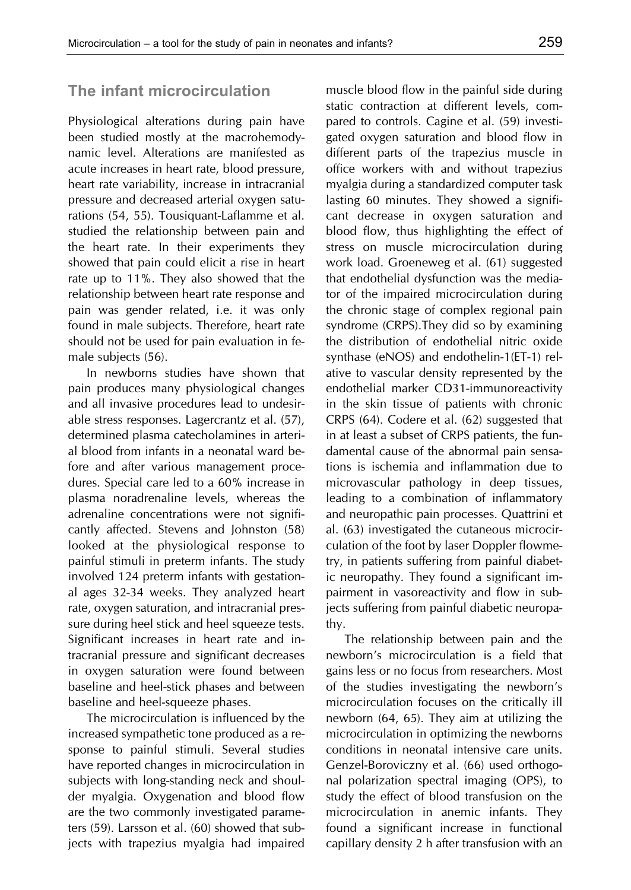#### **The infant microcirculation**

Physiological alterations during pain have been studied mostly at the macrohemodynamic level. Alterations are manifested as acute increases in heart rate, blood pressure, heart rate variability, increase in intracranial pressure and decreased arterial oxygen saturations (54, 55). Tousiquant-Laflamme et al. studied the relationship between pain and the heart rate. In their experiments they showed that pain could elicit a rise in heart rate up to 11%. They also showed that the relationship between heart rate response and pain was gender related, i.e. it was only found in male subjects. Therefore, heart rate should not be used for pain evaluation in female subjects (56).

In newborns studies have shown that pain produces many physiological changes and all invasive procedures lead to undesirable stress responses. Lagercrantz et al. (57), determined plasma catecholamines in arterial blood from infants in a neonatal ward before and after various management procedures. Special care led to a 60% increase in plasma noradrenaline levels, whereas the adrenaline concentrations were not significantly affected. Stevens and Johnston (58) looked at the physiological response to painful stimuli in preterm infants. The study involved 124 preterm infants with gestational ages 32-34 weeks. They analyzed heart rate, oxygen saturation, and intracranial pressure during heel stick and heel squeeze tests. Significant increases in heart rate and intracranial pressure and significant decreases in oxygen saturation were found between baseline and heel-stick phases and between baseline and heel-squeeze phases.

The microcirculation is influenced by the increased sympathetic tone produced as a response to painful stimuli. Several studies have reported changes in microcirculation in subjects with long-standing neck and shoulder myalgia. Oxygenation and blood flow are the two commonly investigated parameters (59). Larsson et al. (60) showed that subjects with trapezius myalgia had impaired muscle blood flow in the painful side during static contraction at different levels, compared to controls. Cagine et al. (59) investigated oxygen saturation and blood flow in different parts of the trapezius muscle in office workers with and without trapezius myalgia during a standardized computer task lasting 60 minutes. They showed a significant decrease in oxygen saturation and blood flow, thus highlighting the effect of stress on muscle microcirculation during work load. Groeneweg et al. (61) suggested that endothelial dysfunction was the mediator of the impaired microcirculation during the chronic stage of complex regional pain syndrome (CRPS).They did so by examining the distribution of endothelial nitric oxide synthase (eNOS) and endothelin-1(ET-1) relative to vascular density represented by the endothelial marker CD31-immunoreactivity in the skin tissue of patients with chronic CRPS (64). Codere et al. (62) suggested that in at least a subset of CRPS patients, the fundamental cause of the abnormal pain sensations is ischemia and inflammation due to microvascular pathology in deep tissues, leading to a combination of inflammatory and neuropathic pain processes. Quattrini et al. (63) investigated the cutaneous microcirculation of the foot by laser Doppler flowmetry, in patients suffering from painful diabetic neuropathy. They found a significant impairment in vasoreactivity and flow in subjects suffering from painful diabetic neuropathy.

The relationship between pain and the newborn's microcirculation is a field that gains less or no focus from researchers. Most of the studies investigating the newborn's microcirculation focuses on the critically ill newborn (64, 65). They aim at utilizing the microcirculation in optimizing the newborns conditions in neonatal intensive care units. Genzel-Boroviczny et al. (66) used orthogonal polarization spectral imaging (OPS), to study the effect of blood transfusion on the microcirculation in anemic infants. They found a significant increase in functional capillary density 2 h after transfusion with an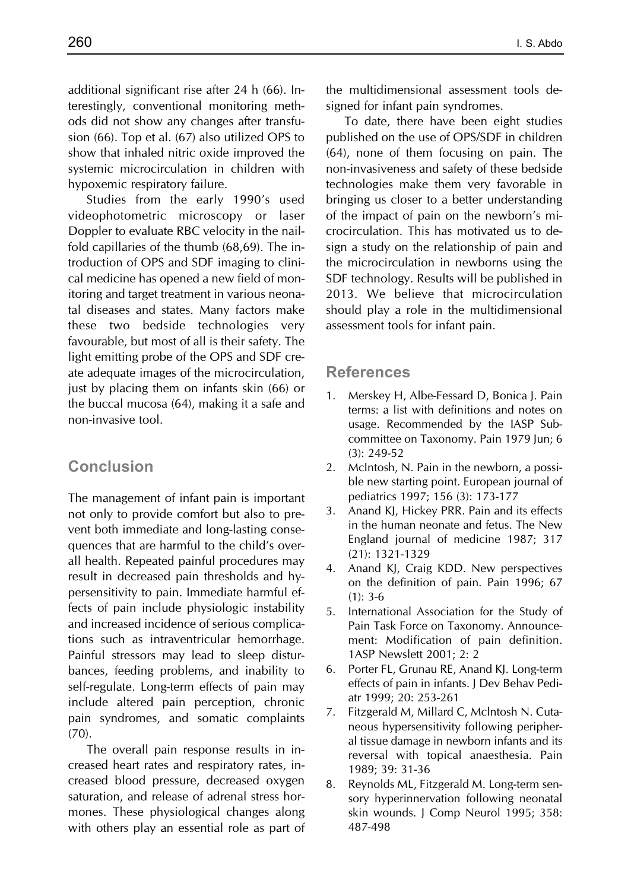additional significant rise after 24 h (66). Interestingly, conventional monitoring methods did not show any changes after transfusion (66). Top et al. (67) also utilized OPS to show that inhaled nitric oxide improved the systemic microcirculation in children with hypoxemic respiratory failure.

Studies from the early 1990's used videophotometric microscopy or laser Doppler to evaluate RBC velocity in the nailfold capillaries of the thumb (68,69). The introduction of OPS and SDF imaging to clinical medicine has opened a new field of monitoring and target treatment in various neonatal diseases and states. Many factors make these two bedside technologies very favourable, but most of all is their safety. The light emitting probe of the OPS and SDF create adequate images of the microcirculation, just by placing them on infants skin (66) or the buccal mucosa (64), making it a safe and non-invasive tool.

### **Conclusion**

The management of infant pain is important not only to provide comfort but also to prevent both immediate and long-lasting consequences that are harmful to the child's overall health. Repeated painful procedures may result in decreased pain thresholds and hypersensitivity to pain. Immediate harmful effects of pain include physiologic instability and increased incidence of serious complications such as intraventricular hemorrhage. Painful stressors may lead to sleep disturbances, feeding problems, and inability to self-regulate. Long-term effects of pain may include altered pain perception, chronic pain syndromes, and somatic complaints (70).

The overall pain response results in increased heart rates and respiratory rates, increased blood pressure, decreased oxygen saturation, and release of adrenal stress hormones. These physiological changes along with others play an essential role as part of the multidimensional assessment tools designed for infant pain syndromes.

To date, there have been eight studies published on the use of OPS/SDF in children (64), none of them focusing on pain. The non-invasiveness and safety of these bedside technologies make them very favorable in bringing us closer to a better understanding of the impact of pain on the newborn's microcirculation. This has motivated us to design a study on the relationship of pain and the microcirculation in newborns using the SDF technology. Results will be published in 2013. We believe that microcirculation should play a role in the multidimensional assessment tools for infant pain.

#### **References**

- 1. Merskey H, Albe-Fessard D, Bonica J. Pain terms: a list with definitions and notes on usage. Recommended by the IASP Subcommittee on Taxonomy. Pain 1979 Jun; 6 (3): 249-52
- 2. McIntosh, N. Pain in the newborn, a possible new starting point. European journal of pediatrics 1997; 156 (3): 173-177
- 3. Anand KJ, Hickey PRR. Pain and its effects in the human neonate and fetus. The New England journal of medicine 1987; 317 (21): 1321-1329
- 4. Anand KJ, Craig KDD. New perspectives on the definition of pain. Pain 1996; 67  $(1): 3-6$
- 5. International Association for the Study of Pain Task Force on Taxonomy. Announcement: Modification of pain definition. 1ASP Newslett 2001; 2: 2
- 6. Porter FL, Grunau RE, Anand KJ. Long-term effects of pain in infants. J Dev Behav Pediatr 1999; 20: 253-261
- 7. Fitzgerald M, Millard C, Mclntosh N. Cutaneous hypersensitivity following peripheral tissue damage in newborn infants and its reversal with topical anaesthesia. Pain 1989; 39: 31-36
- 8. Reynolds ML, Fitzgerald M. Long-term sensory hyperinnervation following neonatal skin wounds. J Comp Neurol 1995; 358: 487-498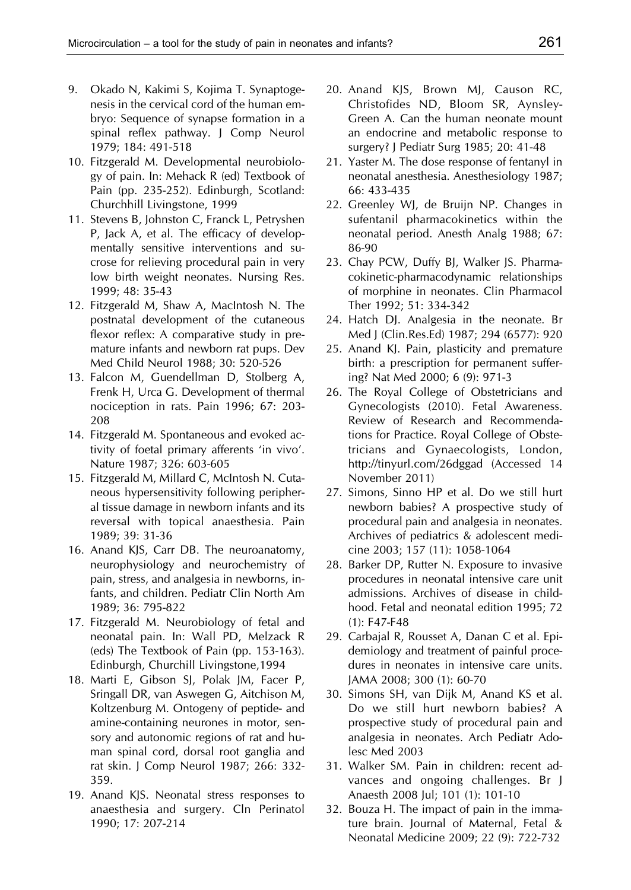- 9. Okado N, Kakimi S, Kojima T. Synaptogenesis in the cervical cord of the human embryo: Sequence of synapse formation in a spinal reflex pathway. J Comp Neurol 1979; 184: 491-518
- 10. Fitzgerald M. Developmental neurobiology of pain. In: Mehack R (ed) Textbook of Pain (pp. 235-252). Edinburgh, Scotland: Churchhill Livingstone, 1999
- 11. Stevens B, Johnston C, Franck L, Petryshen P, Jack A, et al. The efficacy of developmentally sensitive interventions and sucrose for relieving procedural pain in very low birth weight neonates. Nursing Res. 1999; 48: 35-43
- 12. Fitzgerald M, Shaw A, MacIntosh N. The postnatal development of the cutaneous flexor reflex: A comparative study in premature infants and newborn rat pups. Dev Med Child Neurol 1988; 30: 520-526
- 13. Falcon M, Guendellman D, Stolberg A, Frenk H, Urca G. Development of thermal nociception in rats. Pain 1996; 67: 203- 208
- 14. Fitzgerald M. Spontaneous and evoked activity of foetal primary afferents 'in vivo'. Nature 1987; 326: 603-605
- 15. Fitzgerald M, Millard C, McIntosh N. Cutaneous hypersensitivity following peripheral tissue damage in newborn infants and its reversal with topical anaesthesia. Pain 1989; 39: 31-36
- 16. Anand KJS, Carr DB. The neuroanatomy, neurophysiology and neurochemistry of pain, stress, and analgesia in newborns, infants, and children. Pediatr Clin North Am 1989; 36: 795-822
- 17. Fitzgerald M. Neurobiology of fetal and neonatal pain. In: Wall PD, Melzack R (eds) The Textbook of Pain (pp. 153-163). Edinburgh, Churchill Livingstone,1994
- 18. Marti E, Gibson SJ, Polak JM, Facer P, Sringall DR, van Aswegen G, Aitchison M, Koltzenburg M. Ontogeny of peptide- and amine-containing neurones in motor, sensory and autonomic regions of rat and human spinal cord, dorsal root ganglia and rat skin. J Comp Neurol 1987; 266: 332- 359.
- 19. Anand KJS. Neonatal stress responses to anaesthesia and surgery. Cln Perinatol 1990; 17: 207-214
- 20. Anand KJS, Brown MJ, Causon RC, Christofides ND, Bloom SR, Aynsley-Green A. Can the human neonate mount an endocrine and metabolic response to surgery? J Pediatr Surg 1985; 20: 41-48
- 21. Yaster M. The dose response of fentanyl in neonatal anesthesia. Anesthesiology 1987; 66: 433-435
- 22. Greenley WJ, de Bruijn NP. Changes in sufentanil pharmacokinetics within the neonatal period. Anesth Analg 1988; 67: 86-90
- 23. Chay PCW, Duffy BJ, Walker JS. Pharmacokinetic-pharmacodynamic relationships of morphine in neonates. Clin Pharmacol Ther 1992; 51: 334-342
- 24. Hatch DJ. Analgesia in the neonate. Br Med J (Clin.Res.Ed) 1987; 294 (6577): 920
- 25. Anand KJ. Pain, plasticity and premature birth: a prescription for permanent suffering? Nat Med 2000; 6 (9): 971-3
- 26. The Royal College of Obstetricians and Gynecologists (2010). Fetal Awareness. Review of Research and Recommendations for Practice. Royal College of Obstetricians and Gynaecologists, London, http://tinyurl.com/26dggad (Accessed 14 November 2011)
- 27. Simons, Sinno HP et al. Do we still hurt newborn babies? A prospective study of procedural pain and analgesia in neonates. Archives of pediatrics & adolescent medicine 2003; 157 (11): 1058-1064
- 28. Barker DP, Rutter N. Exposure to invasive procedures in neonatal intensive care unit admissions. Archives of disease in childhood. Fetal and neonatal edition 1995; 72 (1): F47-F48
- 29. Carbajal R, Rousset A, Danan C et al. Epidemiology and treatment of painful procedures in neonates in intensive care units. JAMA 2008; 300 (1): 60-70
- 30. Simons SH, van Dijk M, Anand KS et al. Do we still hurt newborn babies? A prospective study of procedural pain and analgesia in neonates. Arch Pediatr Adolesc Med 2003
- 31. Walker SM. Pain in children: recent advances and ongoing challenges. Br J Anaesth 2008 Jul; 101 (1): 101-10
- 32. Bouza H. The impact of pain in the immature brain. Journal of Maternal, Fetal & Neonatal Medicine 2009; 22 (9): 722-732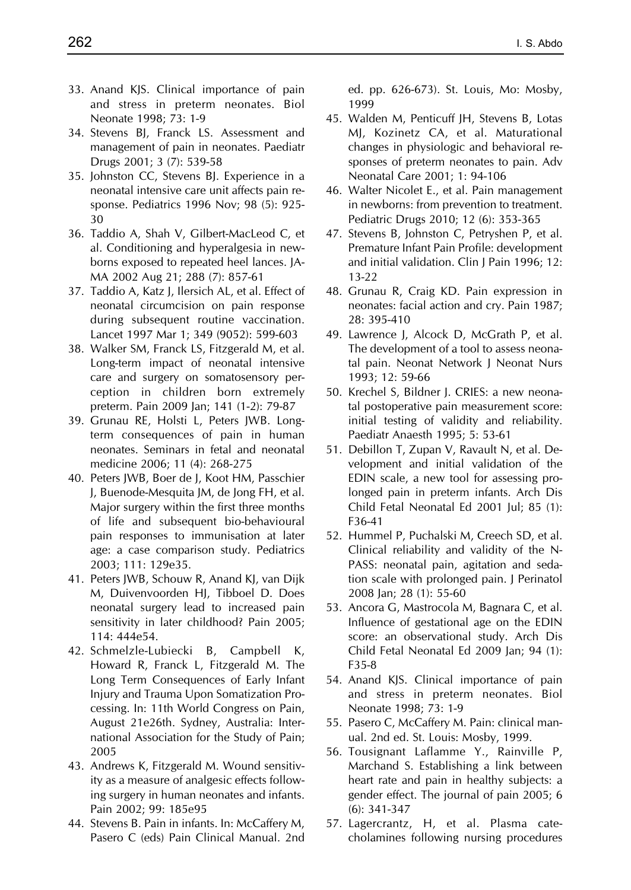- 33. Anand KJS. Clinical importance of pain and stress in preterm neonates. Biol Neonate 1998; 73: 1-9
- 34. Stevens BJ, Franck LS. Assessment and management of pain in neonates. Paediatr Drugs 2001; 3 (7): 539-58
- 35. Johnston CC, Stevens BJ. Experience in a neonatal intensive care unit affects pain response. Pediatrics 1996 Nov; 98 (5): 925- 30
- 36. Taddio A, Shah V, Gilbert-MacLeod C, et al. Conditioning and hyperalgesia in newborns exposed to repeated heel lances. JA-MA 2002 Aug 21; 288 (7): 857-61
- 37. Taddio A, Katz J, Ilersich AL, et al. Effect of neonatal circumcision on pain response during subsequent routine vaccination. Lancet 1997 Mar 1; 349 (9052): 599-603
- 38. Walker SM, Franck LS, Fitzgerald M, et al. Long-term impact of neonatal intensive care and surgery on somatosensory perception in children born extremely preterm. Pain 2009 Jan; 141 (1-2): 79-87
- 39. Grunau RE, Holsti L, Peters JWB. Longterm consequences of pain in human neonates. Seminars in fetal and neonatal medicine 2006; 11 (4): 268-275
- 40. Peters JWB, Boer de J, Koot HM, Passchier J, Buenode-Mesquita JM, de Jong FH, et al. Major surgery within the first three months of life and subsequent bio-behavioural pain responses to immunisation at later age: a case comparison study. Pediatrics 2003; 111: 129e35.
- 41. Peters JWB, Schouw R, Anand KJ, van Dijk M, Duivenvoorden HJ, Tibboel D. Does neonatal surgery lead to increased pain sensitivity in later childhood? Pain 2005; 114: 444e54.
- 42. Schmelzle-Lubiecki B, Campbell K, Howard R, Franck L, Fitzgerald M. The Long Term Consequences of Early Infant Injury and Trauma Upon Somatization Processing. In: 11th World Congress on Pain, August 21e26th. Sydney, Australia: International Association for the Study of Pain; 2005
- 43. Andrews K, Fitzgerald M. Wound sensitivity as a measure of analgesic effects following surgery in human neonates and infants. Pain 2002; 99: 185e95
- 44. Stevens B. Pain in infants. In: McCaffery M, Pasero C (eds) Pain Clinical Manual. 2nd

ed. pp. 626-673). St. Louis, Mo: Mosby, 1999

- 45. Walden M, Penticuff JH, Stevens B, Lotas MJ, Kozinetz CA, et al. Maturational changes in physiologic and behavioral responses of preterm neonates to pain. Adv Neonatal Care 2001; 1: 94-106
- 46. Walter Nicolet E., et al. Pain management in newborns: from prevention to treatment. Pediatric Drugs 2010; 12 (6): 353-365
- 47. Stevens B, Johnston C, Petryshen P, et al. Premature Infant Pain Profile: development and initial validation. Clin J Pain 1996; 12: 13-22
- 48. Grunau R, Craig KD. Pain expression in neonates: facial action and cry. Pain 1987; 28: 395-410
- 49. Lawrence J, Alcock D, McGrath P, et al. The development of a tool to assess neonatal pain. Neonat Network J Neonat Nurs 1993; 12: 59-66
- 50. Krechel S, Bildner J. CRIES: a new neonatal postoperative pain measurement score: initial testing of validity and reliability. Paediatr Anaesth 1995; 5: 53-61
- 51. Debillon T, Zupan V, Ravault N, et al. Development and initial validation of the EDIN scale, a new tool for assessing prolonged pain in preterm infants. Arch Dis Child Fetal Neonatal Ed 2001 Jul; 85 (1): F36-41
- 52. Hummel P, Puchalski M, Creech SD, et al. Clinical reliability and validity of the N-PASS: neonatal pain, agitation and sedation scale with prolonged pain. J Perinatol 2008 Jan; 28 (1): 55-60
- 53. Ancora G, Mastrocola M, Bagnara C, et al. Influence of gestational age on the EDIN score: an observational study. Arch Dis Child Fetal Neonatal Ed 2009 Jan; 94 (1): F35-8
- 54. Anand KJS. Clinical importance of pain and stress in preterm neonates. Biol Neonate 1998; 73: 1-9
- 55. Pasero C, McCaffery M. Pain: clinical manual. 2nd ed. St. Louis: Mosby, 1999.
- 56. Tousignant Laflamme Y., Rainville P, Marchand S. Establishing a link between heart rate and pain in healthy subjects: a gender effect. The journal of pain 2005; 6 (6): 341-347
- 57. Lagercrantz, H, et al. Plasma catecholamines following nursing procedures